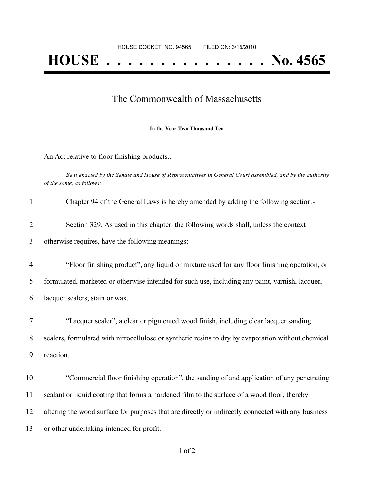## The Commonwealth of Massachusetts

**\_\_\_\_\_\_\_\_\_\_\_\_\_\_\_ In the Year Two Thousand Ten \_\_\_\_\_\_\_\_\_\_\_\_\_\_\_**

An Act relative to floor finishing products..

Be it enacted by the Senate and House of Representatives in General Court assembled, and by the authority *of the same, as follows:*

| $\mathbf{1}$   | Chapter 94 of the General Laws is hereby amended by adding the following section:-                 |
|----------------|----------------------------------------------------------------------------------------------------|
| $\overline{2}$ | Section 329. As used in this chapter, the following words shall, unless the context                |
| 3              | otherwise requires, have the following meanings:-                                                  |
| $\overline{4}$ | "Floor finishing product", any liquid or mixture used for any floor finishing operation, or        |
| 5              | formulated, marketed or otherwise intended for such use, including any paint, varnish, lacquer,    |
| 6              | lacquer sealers, stain or wax.                                                                     |
| 7              | "Lacquer sealer", a clear or pigmented wood finish, including clear lacquer sanding                |
| 8              | sealers, formulated with nitrocellulose or synthetic resins to dry by evaporation without chemical |
| 9              | reaction.                                                                                          |
| 10             | "Commercial floor finishing operation", the sanding of and application of any penetrating          |
| 11             | sealant or liquid coating that forms a hardened film to the surface of a wood floor, thereby       |
| 12             | altering the wood surface for purposes that are directly or indirectly connected with any business |
| 13             | or other undertaking intended for profit.                                                          |